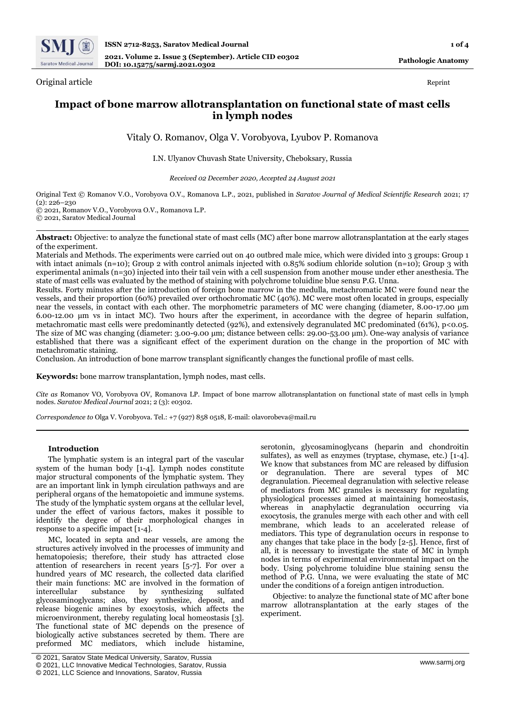

Original article Reprint

# **Impact of bone marrow allotransplantation on functional state of mast cells in lymph nodes**

Vitaly O. Romanov, Olga V. Vorobyova, Lyubov P. Romanova

# I.N. Ulyanov Chuvash State University, Cheboksary, Russia

*Received 02 December 2020, Accepted 24 August 2021*

Original Text © Romanov V.O., Vorobyova O.V., Romanova L.P., 2021, published in *Saratov Journal of Medical Scientific Research* 2021; 17  $(2): 226 - 230$ © 2021, Romanov V.O., Vorobyova O.V., Romanova L.P.

© 2021, Saratov Medical Journal

**Abstract:** Objective: to analyze the functional state of mast cells (MC) after bone marrow allotransplantation at the early stages of the experiment.

Materials and Methods. The experiments were carried out on 40 outbred male mice, which were divided into 3 groups: Group 1 with intact animals (n=10); Group 2 with control animals injected with 0.85% sodium chloride solution (n=10); Group 3 with experimental animals (n=30) injected into their tail vein with a cell suspension from another mouse under ether anesthesia. The state of mast cells was evaluated by the method of staining with polychrome toluidine blue sensu P.G. Unna.

Results. Forty minutes after the introduction of foreign bone marrow in the medulla, metachromatic MC were found near the vessels, and their proportion (60%) prevailed over orthochromatic MC (40%). MC were most often located in groups, especially near the vessels, in contact with each other. The morphometric parameters of MC were changing (diameter, 8.00-17.00 μm 6.00-12.00 μm vs in intact MC). Two hours after the experiment, in accordance with the degree of heparin sulfation, metachromatic mast cells were predominantly detected (92%), and extensively degranulated MC predominated (61%), p<0.05. The size of MC was changing (diameter: 3.00-9.00 μm; distance between cells: 29.00-53.00 μm). One-way analysis of variance established that there was a significant effect of the experiment duration on the change in the proportion of MC with metachromatic staining.

Conclusion. An introduction of bone marrow transplant significantly changes the functional profile of mast cells.

**Keywords:** bone marrow transplantation, lymph nodes, mast cells.

*Cite as* Romanov VO, Vorobyova OV, Romanova LP. Impact of bone marrow allotransplantation on functional state of mast cells in lymph nodes. *Saratov Medical Journal* 2021; 2 (3): e0302.

*Correspondence to* Olga V. Vorobyova. Tel.: +7 (927) 858 0518, E-mail: olavorobeva@mail.ru

## **Introduction**

The lymphatic system is an integral part of the vascular system of the human body [1-4]. Lymph nodes constitute major structural components of the lymphatic system. They are an important link in lymph circulation pathways and are peripheral organs of the hematopoietic and immune systems. The study of the lymphatic system organs at the cellular level, under the effect of various factors, makes it possible to identify the degree of their morphological changes in response to a specific impact [1-4].

MC, located in septa and near vessels, are among the structures actively involved in the processes of immunity and hematopoiesis; therefore, their study has attracted close attention of researchers in recent years [5-7]. For over a hundred years of MC research, the collected data clarified their main functions: MC are involved in the formation of intercellular substance by synthesizing sulfated glycosaminoglycans; also, they synthesize, deposit, and release biogenic amines by exocytosis, which affects the microenvironment, thereby regulating local homeostasis [3]. The functional state of MC depends on the presence of biologically active substances secreted by them. There are preformed MC mediators, which include histamine,

serotonin, glycosaminoglycans (heparin and chondroitin sulfates), as well as enzymes (tryptase, chymase, etc.) [1-4]. We know that substances from MC are released by diffusion or degranulation. There are several types of MC degranulation. Piecemeal degranulation with selective release of mediators from MC granules is necessary for regulating physiological processes aimed at maintaining homeostasis, whereas in anaphylactic degranulation occurring via exocytosis, the granules merge with each other and with cell membrane, which leads to an accelerated release of mediators. This type of degranulation occurs in response to any changes that take place in the body [2-5]. Hence, first of all, it is necessary to investigate the state of MC in lymph nodes in terms of experimental environmental impact on the body. Using polychrome toluidine blue staining sensu the method of P.G. Unna, we were evaluating the state of MC under the conditions of a foreign antigen introduction.

Objective: to analyze the functional state of MC after bone marrow allotransplantation at the early stages of the experiment.

<sup>©</sup> 2021, Saratov State Medical University, Saratov, Russia

<sup>©</sup> 2021, LLC Innovative Medical Technologies, Saratov, Russia

<sup>©</sup> 2021, LLC Science and Innovations, Saratov, Russia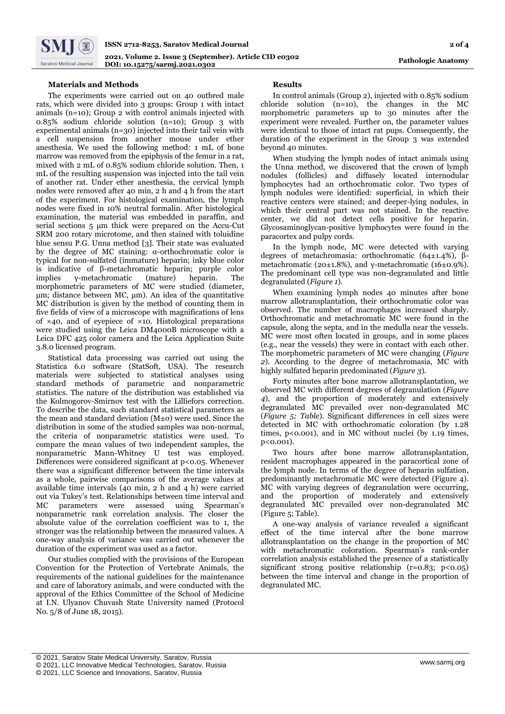

# **Materials and Methods**

The experiments were carried out on 40 outbred male rats, which were divided into 3 groups: Group 1 with intact animals (n=10); Group 2 with control animals injected with 0.85% sodium chloride solution (n=10); Group 3 with experimental animals (n=30) injected into their tail vein with a cell suspension from another mouse under ether anesthesia. We used the following method: 1 mL of bone marrow was removed from the epiphysis of the femur in a rat, mixed with 2 mL of 0.85% sodium chloride solution. Then, 1 mL of the resulting suspension was injected into the tail vein of another rat. Under ether anesthesia, the cervical lymph nodes were removed after 40 min, 2 h and 4 h from the start of the experiment. For histological examination, the lymph nodes were fixed in 10% neutral formalin. After histological examination, the material was embedded in paraffin, and serial sections 5 μm thick were prepared on the Accu-Cut SRM 200 rotary microtome, and then stained with toluidine blue sensu P.G. Unna method [3]. Their state was evaluated by the degree of MC staining: α-orthochromatic color is typical for non-sulfated (immature) heparin; inky blue color is indicative of β-metachromatic heparin; purple color implies γ-metachromatic (mature) heparin. The morphometric parameters of MC were studied (diameter, μm; distance between MC, μm). An idea of the quantitative MC distribution is given by the method of counting them in five fields of view of a microscope with magnifications of lens of  $\times$ 40, and of eyepiece of  $\times$ 10. Histological preparations were studied using the Leica DM4000B microscope with a Leica DFC 425 color camera and the Leica Application Suite 3.8.0 licensed program.

Statistical data processing was carried out using the Statistica 6.0 software (StatSoft, USA). The research materials were subjected to statistical analyses using standard methods of parametric and nonparametric statistics. The nature of the distribution was established via the Kolmogorov-Smirnov test with the Lilliefors correction. To describe the data, such standard statistical parameters as the mean and standard deviation (M±σ) were used. Since the distribution in some of the studied samples was non-normal, the criteria of nonparametric statistics were used. To compare the mean values of two independent samples, the nonparametric Mann-Whitney U test was employed. Differences were considered significant at p<0.05. Whenever there was a significant difference between the time intervals as a whole, pairwise comparisons of the average values at available time intervals (40 min, 2 h and 4 h) were carried out via Tukey's test. Relationships between time interval and MC parameters were assessed using Spearman's nonparametric rank correlation analysis. The closer the absolute value of the correlation coefficient was to 1, the stronger was the relationship between the measured values. A one-way analysis of variance was carried out whenever the duration of the experiment was used as a factor.

Our studies complied with the provisions of the European Convention for the Protection of Vertebrate Animals, the requirements of the national guidelines for the maintenance and care of laboratory animals, and were conducted with the approval of the Ethics Committee of the School of Medicine at I.N. Ulyanov Chuvash State University named (Protocol No. 5/8 of June 18, 2015).

## **Results**

In control animals (Group 2), injected with 0.85% sodium chloride solution (n=10), the changes in the MC morphometric parameters up to 30 minutes after the experiment were revealed. Further on, the parameter values were identical to those of intact rat pups. Consequently, the duration of the experiment in the Group 3 was extended beyond 40 minutes.

When studying the lymph nodes of intact animals using the Unna method, we discovered that the crown of lymph nodules (follicles) and diffusely located internodular lymphocytes had an orthochromatic color. Two types of lymph nodules were identified: superficial, in which their reactive centers were stained; and deeper-lying nodules, in which their central part was not stained. In the reactive center, we did not detect cells positive for heparin. Glycosaminoglycan-positive lymphocytes were found in the paracortex and pulpy cords.

In the lymph node, MC were detected with varying degrees of metachromasia: orthochromatic (64±1.4%), βmetachromatic (20±1.8%), and γ-metachromatic (16±0.9%). The predominant cell type was non-degranulated and little degranulated (*Figure 1*).

When examining lymph nodes 40 minutes after bone marrow allotransplantation, their orthochromatic color was observed. The number of macrophages increased sharply. Orthochromatic and metachromatic MC were found in the capsule, along the septa, and in the medulla near the vessels. MC were most often located in groups, and in some places (e.g., near the vessels) they were in contact with each other. The morphometric parameters of MC were changing (*Figure 2*). According to the degree of metachromasia, MC with highly sulfated heparin predominated (*Figure 3*).

Forty minutes after bone marrow allotransplantation, we observed MC with different degrees of degranulation (*Figure 4*), and the proportion of moderately and extensively degranulated MC prevailed over non-degranulated MC (*Figure 5; Table*). Significant differences in cell sizes were detected in MC with orthochromatic coloration (by 1.28 times, p<0.001), and in MC without nuclei (by 1.19 times, p<0.001).

Two hours after bone marrow allotransplantation, resident macrophages appeared in the paracortical zone of the lymph node. In terms of the degree of heparin sulfation, predominantly metachromatic MC were detected (Figure 4). MC with varying degrees of degranulation were occurring, and the proportion of moderately and extensively degranulated MC prevailed over non-degranulated MC (Figure 5; Table).

A one-way analysis of variance revealed a significant effect of the time interval after the bone marrow allotransplantation on the change in the proportion of MC with metachromatic coloration. Spearman's rank-order correlation analysis established the presence of a statistically significant strong positive relationship (r=0.83; p<0.05) between the time interval and change in the proportion of degranulated MC.

<sup>1</sup> © 2021, Saratov State Medical University, Saratov, Russia

<sup>©</sup> 2021, LLC Innovative Medical Technologies, Saratov, Russia

<sup>©</sup> 2021, LLC Science and Innovations, Saratov, Russia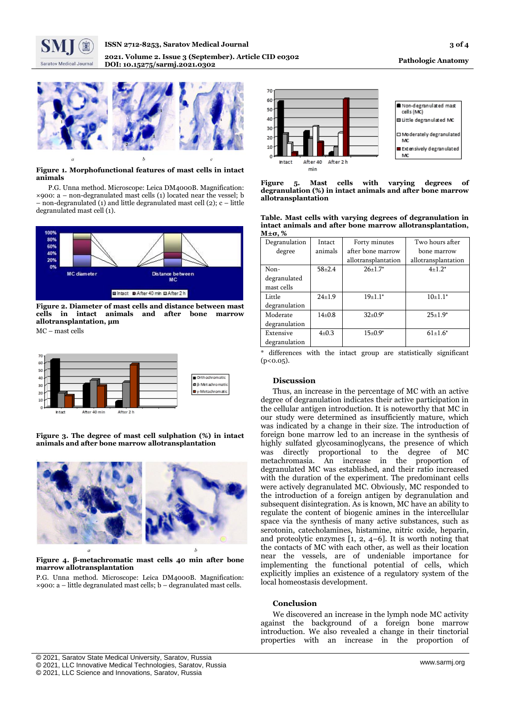



#### **Figure 1. Morphofunctional features of mast cells in intact animals**

P.G. Unna method. Microscope: Leica DM4000B. Magnification:  $\times$ 900: a – non-degranulated mast cells (1) located near the vessel; b  $-$  non-degranulated (1) and little degranulated mast cell (2);  $c$  – little degranulated mast cell (1).



**Figure 2. Diameter of mast cells and distance between mast cells in intact animals and after bone marrow allotransplantation, µm**

MC – mast cells



**Figure 3. The degree of mast cell sulphation (%) in intact animals and after bone marrow allotransplantation**



## **Figure 4. β-metachromatic mast cells 40 min after bone marrow allotransplantation**

P.G. Unna method. Microscope: Leica DM4000B. Magnification:  $\times$ 900: a – little degranulated mast cells; b – degranulated mast cells.



**Figure 5. Mast cells with varying degrees of degranulation (%) in intact animals and after bone marrow allotransplantation**

|        |  |  | Table. Mast cells with varying degrees of degranulation in |  |
|--------|--|--|------------------------------------------------------------|--|
|        |  |  | intact animals and after bone marrow allotransplantation,  |  |
| М±σ, % |  |  |                                                            |  |

| Degranulation | Intact       | Forty minutes       | Two hours after     |
|---------------|--------------|---------------------|---------------------|
| degree        | animals      | after bone marrow   | bone marrow         |
|               |              | allotransplantation | allotransplantation |
| Non-          | $58 + 2.4$   | $26+1.7*$           | $4+1.2*$            |
| degranulated  |              |                     |                     |
| mast cells    |              |                     |                     |
| Little        | $24 \pm 1.9$ | $19+1.1*$           | $10+1.1*$           |
| degranulation |              |                     |                     |
| Moderate      | $14 + 0.8$   | $32+0.9*$           | $25+1.9*$           |
| degranulation |              |                     |                     |
| Extensive     | $4\pm 0.3$   | $15+0.9*$           | $61{\pm}1.6^*$      |
| degranulation |              |                     |                     |

\* differences with the intact group are statistically significant  $(p<0.05)$ .

## **Discussion**

Thus, an increase in the percentage of MC with an active degree of degranulation indicates their active participation in the cellular antigen introduction. It is noteworthy that MC in our study were determined as insufficiently mature, which was indicated by a change in their size. The introduction of foreign bone marrow led to an increase in the synthesis of highly sulfated glycosaminoglycans, the presence of which was directly proportional to the degree of MC metachromasia. An increase in the proportion of degranulated MC was established, and their ratio increased with the duration of the experiment. The predominant cells were actively degranulated MC. Obviously, MC responded to the introduction of a foreign antigen by degranulation and subsequent disintegration. As is known, MC have an ability to regulate the content of biogenic amines in the intercellular space via the synthesis of many active substances, such as serotonin, catecholamines, histamine, nitric oxide, heparin, and proteolytic enzymes [1, 2, 4–6]. It is worth noting that the contacts of MC with each other, as well as their location near the vessels, are of undeniable importance for implementing the functional potential of cells, which explicitly implies an existence of a regulatory system of the local homeostasis development.

#### **Conclusion**

We discovered an increase in the lymph node MC activity against the background of a foreign bone marrow introduction. We also revealed a change in their tinctorial properties with an increase in the proportion of

<sup>1</sup> © 2021, Saratov State Medical University, Saratov, Russia

<sup>©</sup> 2021, LLC Innovative Medical Technologies, Saratov, Russia

<sup>©</sup> 2021, LLC Science and Innovations, Saratov, Russia